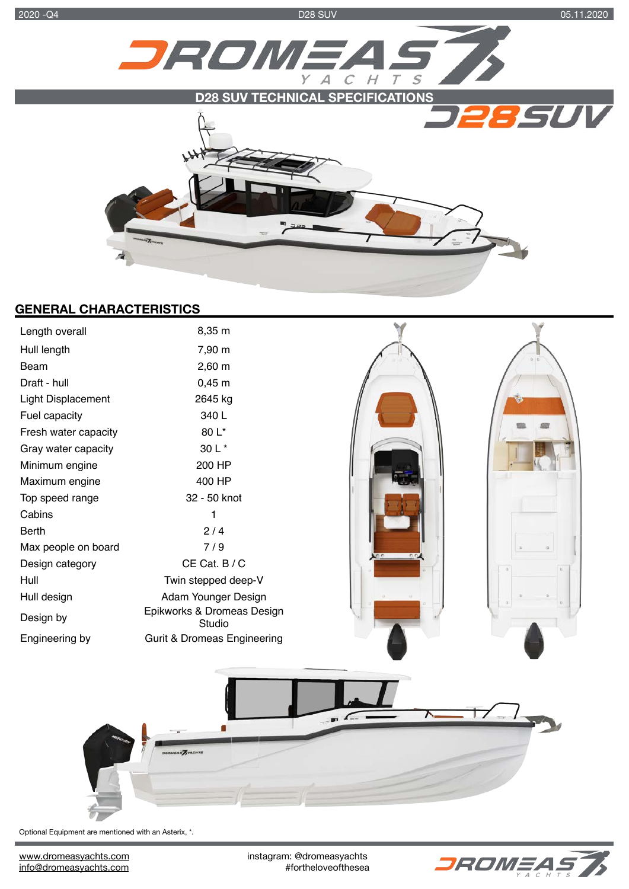2020 -Q4 D28 SUV 05.11.2020



# **GENERAL CHARACTERISTICS**

| Length overall            | 8,35 m                                 |                |  |
|---------------------------|----------------------------------------|----------------|--|
| Hull length               | 7,90 m                                 |                |  |
| Beam                      | $2,60 \; m$                            |                |  |
| Draft - hull              | $0,45 \; m$                            |                |  |
| <b>Light Displacement</b> | 2645 kg                                |                |  |
| Fuel capacity             | 340 L                                  |                |  |
| Fresh water capacity      | 80 L*                                  |                |  |
| Gray water capacity       | 30 L *                                 |                |  |
| Minimum engine            | 200 HP                                 |                |  |
| Maximum engine            | 400 HP                                 |                |  |
| Top speed range           | 32 - 50 knot                           |                |  |
| Cabins                    | 1                                      |                |  |
| Berth                     | 2/4                                    |                |  |
| Max people on board       | 7/9                                    |                |  |
| Design category           | CE Cat. B / C                          |                |  |
| Hull                      | Twin stepped deep-V                    |                |  |
| Hull design               | Adam Younger Design                    |                |  |
| Design by                 | Epikworks & Dromeas Design<br>Studio   |                |  |
| Engineering by            | <b>Gurit &amp; Dromeas Engineering</b> |                |  |
|                           |                                        | $\mathbb{R}^2$ |  |
|                           |                                        |                |  |

Optional Equipment are mentioned with an Asterix, \*.

[www.dromeasyachts.com](http://www.dromeasyachts.com) instagram: @dromeasyachts<br>info@dromeasyachts.com **instagram:** @dromeasyachts.com **instagram** 

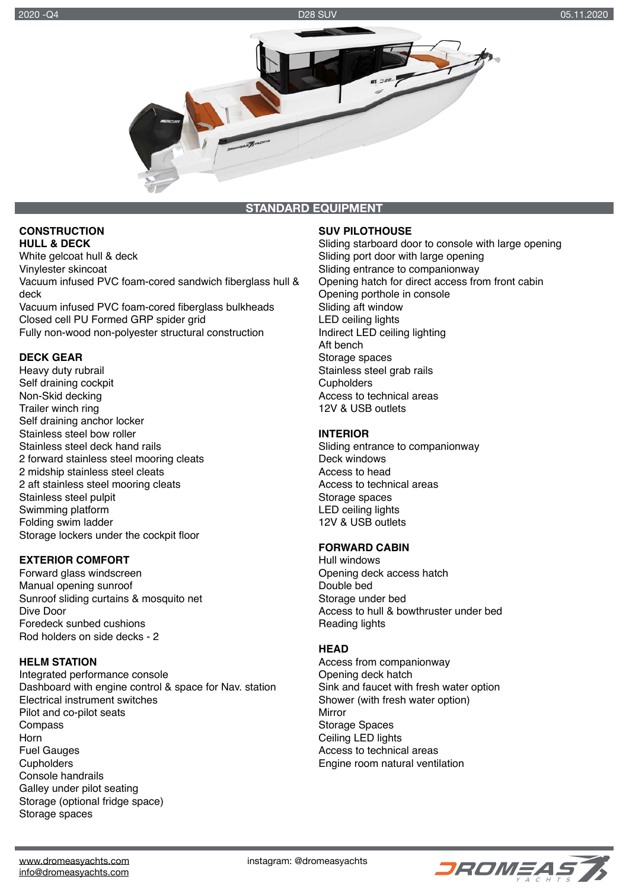

**STANDARD EQUIPMENT** 

#### **CONSTRUCTION HULL & DECK**

White gelcoat hull & deck Vinylester skincoat Vacuum infused PVC foam-cored sandwich fiberglass hull & deck Vacuum infused PVC foam-cored fiberglass bulkheads

Closed cell PU Formed GRP spider grid Fully non-wood non-polyester structural construction

# **DECK GEAR**

Heavy duty rubrail Self draining cockpit Non-Skid decking Trailer winch ring Self draining anchor locker Stainless steel bow roller Stainless steel deck hand rails 2 forward stainless steel mooring cleats 2 midship stainless steel cleats 2 aft stainless steel mooring cleats Stainless steel pulpit Swimming platform Folding swim ladder Storage lockers under the cockpit floor

# **EXTERIOR COMFORT**

Forward glass windscreen Manual opening sunroof Sunroof sliding curtains & mosquito net Dive Door Foredeck sunbed cushions Rod holders on side decks - 2

### **HELM STATION**

Integrated performance console Dashboard with engine control & space for Nav. station Electrical instrument switches Pilot and co-pilot seats Compass Horn Fuel Gauges **Cupholders** Console handrails Galley under pilot seating Storage (optional fridge space) Storage spaces

## **SUV PILOTHOUSE**

Sliding starboard door to console with large opening Sliding port door with large opening Sliding entrance to companionway Opening hatch for direct access from front cabin Opening porthole in console Sliding aft window LED ceiling lights Indirect LED ceiling lighting Aft bench Storage spaces Stainless steel grab rails **Cupholders** Access to technical areas 12V & USB outlets

### **INTERIOR**

Sliding entrance to companionway Deck windows Access to head Access to technical areas Storage spaces LED ceiling lights 12V & USB outlets

### **FORWARD CABIN**

Hull windows Opening deck access hatch Double bed Storage under bed Access to hull & bowthruster under bed Reading lights

# **HEAD**

Access from companionway Opening deck hatch Sink and faucet with fresh water option Shower (with fresh water option) Mirror Storage Spaces Ceiling LED lights Access to technical areas Engine room natural ventilation



[www.dromeasyachts.com](http://www.dromeasyachts.com) www.dromeasyachts.com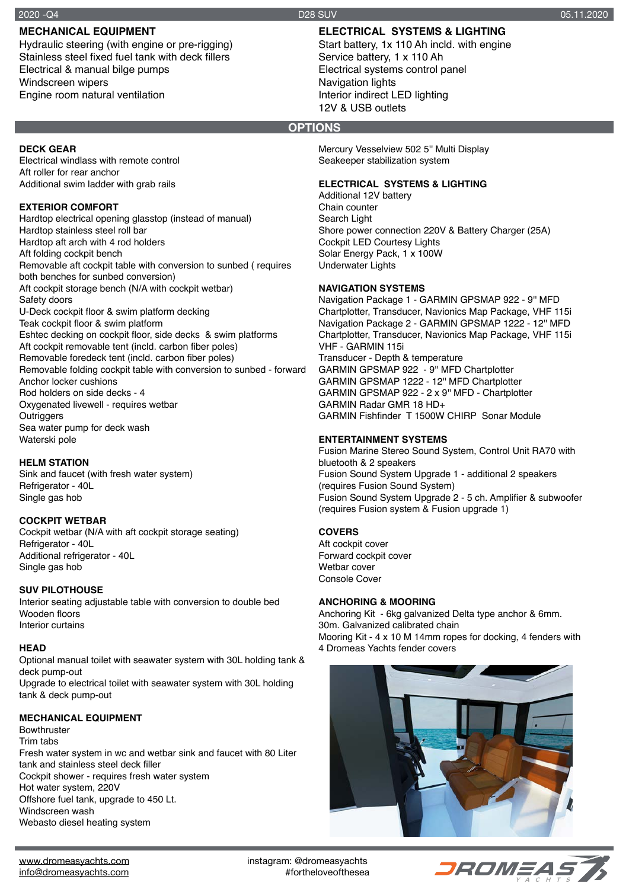# **MECHANICAL EQUIPMENT**

Hydraulic steering (with engine or pre-rigging) Stainless steel fixed fuel tank with deck fillers Electrical & manual bilge pumps Windscreen wipers Engine room natural ventilation

# **ELECTRICAL SYSTEMS & LIGHTING**

Start battery, 1x 110 Ah incld. with engine Service battery, 1 x 110 Ah Electrical systems control panel Navigation lights Interior indirect LED lighting 12V & USB outlets

## **OPTIONS**

Mercury Vesselview 502 5'' Multi Display Seakeeper stabilization system

#### **ELECTRICAL SYSTEMS & LIGHTING**

Additional 12V battery Chain counter Search Light Shore power connection 220V & Battery Charger (25A) Cockpit LED Courtesy Lights Solar Energy Pack, 1 x 100W Underwater Lights

### **NAVIGATION SYSTEMS**

Navigation Package 1 - GARMIN GPSMAP 922 - 9'' MFD Chartplotter, Transducer, Navionics Map Package, VHF 115i Navigation Package 2 - GARMIN GPSMAP 1222 - 12'' MFD Chartplotter, Transducer, Navionics Map Package, VHF 115i VHF - GARMIN 115i Transducer - Depth & temperature GARMIN GPSMAP 922 - 9'' MFD Chartplotter GARMIN GPSMAP 1222 - 12'' MFD Chartplotter GARMIN GPSMAP 922 - 2 x 9'' MFD - Chartplotter GARMIN Radar GMR 18 HD+ GARMIN Fishfinder T 1500W CHIRP Sonar Module

### **ENTERTAINMENT SYSTEMS**

Fusion Marine Stereo Sound System, Control Unit RA70 with bluetooth & 2 speakers Fusion Sound System Upgrade 1 - additional 2 speakers (requires Fusion Sound System) Fusion Sound System Upgrade 2 - 5 ch. Amplifier & subwoofer (requires Fusion system & Fusion upgrade 1)

### **COVERS**

Aft cockpit cover Forward cockpit cover Wethar cover Console Cover

#### **ANCHORING & MOORING**

Anchoring Kit - 6kg galvanized Delta type anchor & 6mm. 30m. Galvanized calibrated chain Mooring Kit - 4 x 10 M 14mm ropes for docking, 4 fenders with 4 Dromeas Yachts fender covers



# **DECK GEAR**

Electrical windlass with remote control Aft roller for rear anchor Additional swim ladder with grab rails

#### **EXTERIOR COMFORT**

Hardtop electrical opening glasstop (instead of manual) Hardtop stainless steel roll bar Hardtop aft arch with 4 rod holders Aft folding cockpit bench Removable aft cockpit table with conversion to sunbed ( requires both benches for sunbed conversion) Aft cockpit storage bench (N/A with cockpit wetbar) Safety doors U-Deck cockpit floor & swim platform decking Teak cockpit floor & swim platform Eshtec decking on cockpit floor, side decks & swim platforms Aft cockpit removable tent (incld. carbon fiber poles) Removable foredeck tent (incld. carbon fiber poles) Removable folding cockpit table with conversion to sunbed - forward Anchor locker cushions Rod holders on side decks - 4 Oxygenated livewell - requires wetbar **Outriggers** Sea water pump for deck wash Waterski pole

#### **HELM STATION**

Sink and faucet (with fresh water system) Refrigerator - 40L Single gas hob

### **COCKPIT WETBAR**

Cockpit wetbar (N/A with aft cockpit storage seating) Refrigerator - 40L Additional refrigerator - 40L Single gas hob

#### **SUV PILOTHOUSE**

Interior seating adjustable table with conversion to double bed Wooden floors Interior curtains

#### **HEAD**

Optional manual toilet with seawater system with 30L holding tank & deck pump-out Upgrade to electrical toilet with seawater system with 30L holding tank & deck pump-out

#### **MECHANICAL EQUIPMENT**

Bowthruster Trim tabs Fresh water system in wc and wetbar sink and faucet with 80 Liter tank and stainless steel deck filler Cockpit shower - requires fresh water system Hot water system, 220V Offshore fuel tank, upgrade to 450 Lt. Windscreen wash Webasto diesel heating system

[www.dromeasyachts.com](http://www.dromeasyachts.com) www.dromeasyachts.com [info@dromeasyachts.com](mailto:info@dromeasyachts.com) **info@dromeasyachts.com**